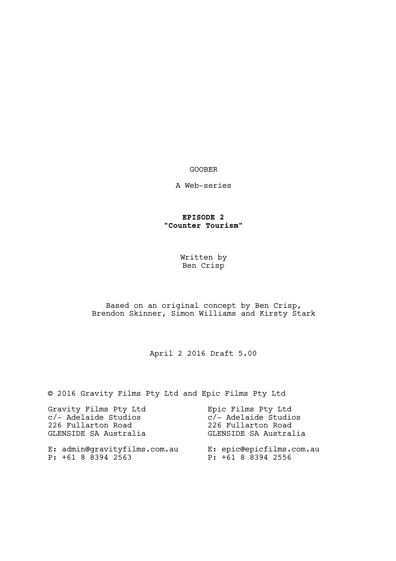## GOOBER

A Web-series

## **EPISODE 2 "Counter Tourism"**

Written by Ben Crisp

## Based on an original concept by Ben Crisp, Brendon Skinner, Simon Williams and Kirsty Stark

April 2 2016 Draft 5.00

© 2016 Gravity Films Pty Ltd and Epic Films Pty Ltd

| Gravity Films Pty Ltd                              | Epic Films Pty Ltd                             |
|----------------------------------------------------|------------------------------------------------|
| c/- Adelaide Studios                               | c/- Adelaide Studios                           |
| 226 Fullarton Road                                 | 226 Fullarton Road                             |
| GLENSIDE SA Australia                              | GLENSIDE SA Australia                          |
| E: admin@gravityfilms.com.au<br>P: +61 8 8394 2563 | E: epic@epicfilms.com.au<br>P: +61 8 8394 2556 |
|                                                    |                                                |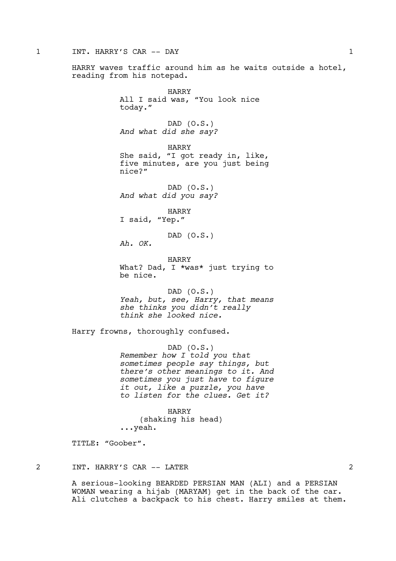#### 1 INT. HARRY'S CAR -- DAY 1

HARRY waves traffic around him as he waits outside a hotel, reading from his notepad.

> HARRY All I said was, "You look nice today." DAD (O.S.) *And what did she say?* HARRY She said, "I got ready in, like, five minutes, are you just being nice?" DAD (O.S.) *And what did you say?* HARRY I said, "Yep." DAD (O.S.) *Ah. OK.* HARRY What? Dad, I \*was\* just trying to be nice.

> DAD (O.S.) *Yeah, but, see, Harry, that means she thinks you didn't really think she looked nice.*

Harry frowns, thoroughly confused.

DAD (O.S.) *Remember how I told you that sometimes people say things, but there's other meanings to it. And sometimes you just have to figure it out, like a puzzle, you have to listen for the clues. Get it?*

HARRY (shaking his head) ...yeah.

TITLE: "Goober".

# 2 INT. HARRY'S CAR -- LATER 2

A serious-looking BEARDED PERSIAN MAN (ALI) and a PERSIAN WOMAN wearing a hijab (MARYAM) get in the back of the car. Ali clutches a backpack to his chest. Harry smiles at them.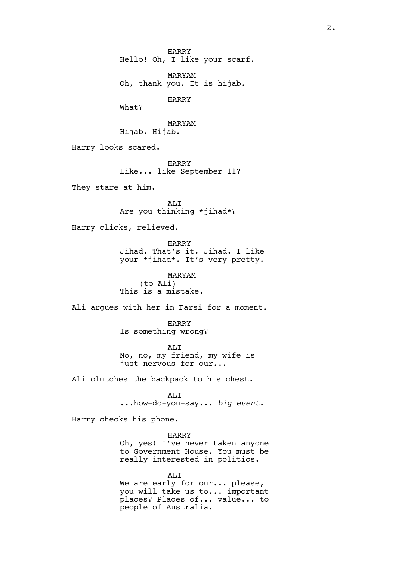HARRY Hello! Oh, I like your scarf.

MARYAM Oh, thank you. It is hijab.

HARRY

What?

MARYAM Hijab. Hijab.

Harry looks scared.

HARRY Like... like September 11?

They stare at him.

ALI Are you thinking \*jihad\*?

Harry clicks, relieved.

HARRY

Jihad. That's it. Jihad. I like your \*jihad\*. It's very pretty.

MARYAM (to Ali) This is a mistake.

Ali argues with her in Farsi for a moment.

HARRY Is something wrong?

ALI No, no, my friend, my wife is just nervous for our...

Ali clutches the backpack to his chest.

ALI ...how-do-you-say... *big event*.

Harry checks his phone.

HARRY Oh, yes! I've never taken anyone to Government House. You must be really interested in politics.

ALI We are early for our... please, you will take us to... important places? Places of... value... to people of Australia.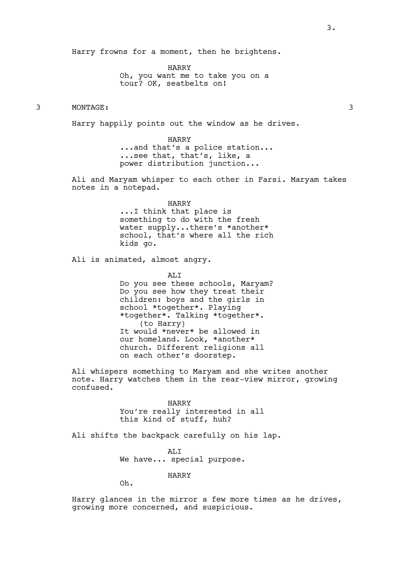Harry frowns for a moment, then he brightens.

HARRY Oh, you want me to take you on a tour? OK, seatbelts on!

## 3 MONTAGE: 3

Harry happily points out the window as he drives.

HARRY

...and that's a police station... ...see that, that's, like, a power distribution junction...

Ali and Maryam whisper to each other in Farsi. Maryam takes notes in a notepad.

> HARRY ...I think that place is something to do with the fresh water supply...there's \*another\* school, that's where all the rich kids go.

Ali is animated, almost angry.

AT<sub>I</sub>T Do you see these schools, Maryam? Do you see how they treat their children: boys and the girls in school \*together\*. Playing \*together\*. Talking \*together\*. (to Harry) It would \*never\* be allowed in our homeland. Look, \*another\* church. Different religions all on each other's doorstep.

Ali whispers something to Maryam and she writes another note. Harry watches them in the rear-view mirror, growing confused.

> HARRY You're really interested in all this kind of stuff, huh?

Ali shifts the backpack carefully on his lap.

AT<sub>I</sub>T We have... special purpose.

HARRY

Oh.

Harry glances in the mirror a few more times as he drives, growing more concerned, and suspicious.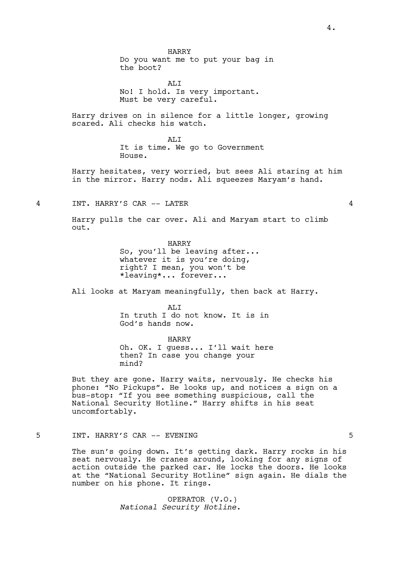HARRY Do you want me to put your bag in the boot?

ALI No! I hold. Is very important. Must be very careful.

Harry drives on in silence for a little longer, growing scared. Ali checks his watch.

> AT.T It is time. We go to Government House.

Harry hesitates, very worried, but sees Ali staring at him in the mirror. Harry nods. Ali squeezes Maryam's hand.

4 INT. HARRY'S CAR -- LATER 4

Harry pulls the car over. Ali and Maryam start to climb out.

> HARRY So, you'll be leaving after... whatever it is you're doing, right? I mean, you won't be \*leaving\*... forever...

Ali looks at Maryam meaningfully, then back at Harry.

ALI In truth I do not know. It is in God's hands now.

HARRY Oh. OK. I guess... I'll wait here then? In case you change your mind?

But they are gone. Harry waits, nervously. He checks his phone: "No Pickups". He looks up, and notices a sign on a bus-stop: "If you see something suspicious, call the National Security Hotline." Harry shifts in his seat uncomfortably.

### 5 INT. HARRY'S CAR -- EVENING 5

The sun's going down. It's getting dark. Harry rocks in his seat nervously. He cranes around, looking for any signs of action outside the parked car. He locks the doors. He looks at the "National Security Hotline" sign again. He dials the number on his phone. It rings.

> OPERATOR (V.O.) *National Security Hotline.*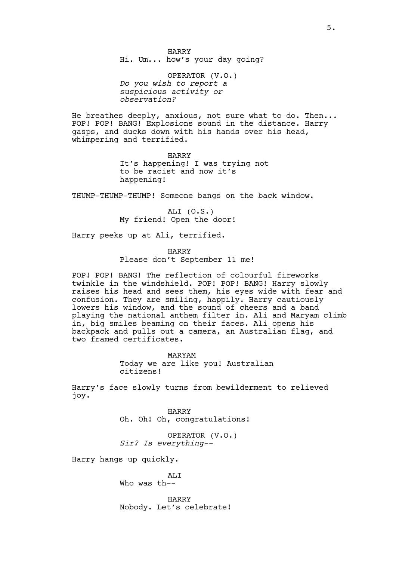HARRY Hi. Um... how's your day going?

OPERATOR (V.O.) *Do you wish to report a suspicious activity or observation?*

He breathes deeply, anxious, not sure what to do. Then... POP! POP! BANG! Explosions sound in the distance. Harry gasps, and ducks down with his hands over his head, whimpering and terrified.

> HARRY It's happening! I was trying not to be racist and now it's happening!

THUMP-THUMP-THUMP! Someone bangs on the back window.

ALI (O.S.) My friend! Open the door!

Harry peeks up at Ali, terrified.

HARRY Please don't September 11 me!

POP! POP! BANG! The reflection of colourful fireworks twinkle in the windshield. POP! POP! BANG! Harry slowly raises his head and sees them, his eyes wide with fear and confusion. They are smiling, happily. Harry cautiously lowers his window, and the sound of cheers and a band playing the national anthem filter in. Ali and Maryam climb in, big smiles beaming on their faces. Ali opens his backpack and pulls out a camera, an Australian flag, and two framed certificates.

> MARYAM Today we are like you! Australian citizens!

Harry's face slowly turns from bewilderment to relieved joy.

> HARRY Oh. Oh! Oh, congratulations!

OPERATOR (V.O.) *Sir? Is everything--*

Harry hangs up quickly.

AT<sub>I</sub>T Who was th--

HARRY Nobody. Let's celebrate!